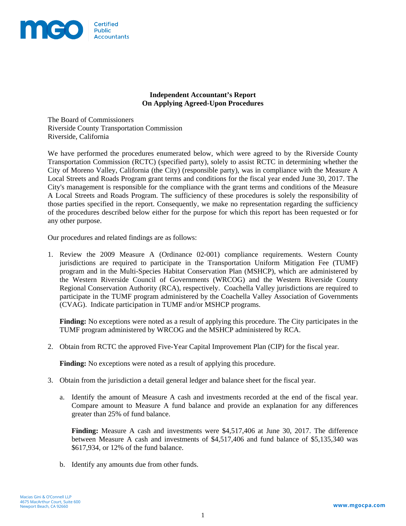

## **Independent Accountant's Report On Applying Agreed-Upon Procedures**

The Board of Commissioners Riverside County Transportation Commission Riverside, California

We have performed the procedures enumerated below, which were agreed to by the Riverside County Transportation Commission (RCTC) (specified party), solely to assist RCTC in determining whether the City of Moreno Valley, California (the City) (responsible party), was in compliance with the Measure A Local Streets and Roads Program grant terms and conditions for the fiscal year ended June 30, 2017. The City's management is responsible for the compliance with the grant terms and conditions of the Measure A Local Streets and Roads Program. The sufficiency of these procedures is solely the responsibility of those parties specified in the report. Consequently, we make no representation regarding the sufficiency of the procedures described below either for the purpose for which this report has been requested or for any other purpose.

Our procedures and related findings are as follows:

1. Review the 2009 Measure A (Ordinance 02-001) compliance requirements. Western County jurisdictions are required to participate in the Transportation Uniform Mitigation Fee (TUMF) program and in the Multi-Species Habitat Conservation Plan (MSHCP), which are administered by the Western Riverside Council of Governments (WRCOG) and the Western Riverside County Regional Conservation Authority (RCA), respectively. Coachella Valley jurisdictions are required to participate in the TUMF program administered by the Coachella Valley Association of Governments (CVAG). Indicate participation in TUMF and/or MSHCP programs.

**Finding:** No exceptions were noted as a result of applying this procedure. The City participates in the TUMF program administered by WRCOG and the MSHCP administered by RCA.

2. Obtain from RCTC the approved Five-Year Capital Improvement Plan (CIP) for the fiscal year.

**Finding:** No exceptions were noted as a result of applying this procedure.

- 3. Obtain from the jurisdiction a detail general ledger and balance sheet for the fiscal year.
	- a. Identify the amount of Measure A cash and investments recorded at the end of the fiscal year. Compare amount to Measure A fund balance and provide an explanation for any differences greater than 25% of fund balance.

**Finding:** Measure A cash and investments were \$4,517,406 at June 30, 2017. The difference between Measure A cash and investments of \$4,517,406 and fund balance of \$5,135,340 was \$617,934, or 12% of the fund balance.

b. Identify any amounts due from other funds.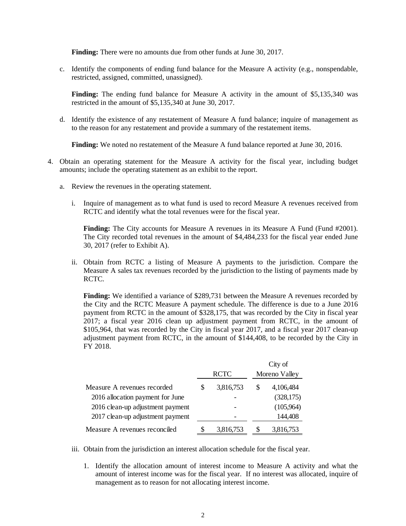**Finding:** There were no amounts due from other funds at June 30, 2017.

c. Identify the components of ending fund balance for the Measure A activity (e.g., nonspendable, restricted, assigned, committed, unassigned).

**Finding:** The ending fund balance for Measure A activity in the amount of \$5,135,340 was restricted in the amount of \$5,135,340 at June 30, 2017.

d. Identify the existence of any restatement of Measure A fund balance; inquire of management as to the reason for any restatement and provide a summary of the restatement items.

**Finding:** We noted no restatement of the Measure A fund balance reported at June 30, 2016.

- 4. Obtain an operating statement for the Measure A activity for the fiscal year, including budget amounts; include the operating statement as an exhibit to the report.
	- a. Review the revenues in the operating statement.
		- i. Inquire of management as to what fund is used to record Measure A revenues received from RCTC and identify what the total revenues were for the fiscal year.

**Finding:** The City accounts for Measure A revenues in its Measure A Fund (Fund #2001). The City recorded total revenues in the amount of \$4,484,233 for the fiscal year ended June 30, 2017 (refer to Exhibit A).

ii. Obtain from RCTC a listing of Measure A payments to the jurisdiction. Compare the Measure A sales tax revenues recorded by the jurisdiction to the listing of payments made by RCTC.

**Finding:** We identified a variance of \$289,731 between the Measure A revenues recorded by the City and the RCTC Measure A payment schedule. The difference is due to a June 2016 payment from RCTC in the amount of \$328,175, that was recorded by the City in fiscal year 2017; a fiscal year 2016 clean up adjustment payment from RCTC, in the amount of \$105,964, that was recorded by the City in fiscal year 2017, and a fiscal year 2017 clean-up adjustment payment from RCTC, in the amount of \$144,408, to be recorded by the City in FY 2018.

|                                  |   |             | City of       |  |  |
|----------------------------------|---|-------------|---------------|--|--|
|                                  |   | <b>RCTC</b> | Moreno Valley |  |  |
| Measure A revenues recorded      | S | 3,816,753   | 4,106,484     |  |  |
| 2016 allocation payment for June |   |             | (328, 175)    |  |  |
| 2016 clean-up adjustment payment |   |             | (105,964)     |  |  |
| 2017 clean-up adjustment payment |   |             | 144,408       |  |  |
| Measure A revenues reconciled    |   | 3,816,753   | 3,816,753     |  |  |

- iii. Obtain from the jurisdiction an interest allocation schedule for the fiscal year.
	- 1. Identify the allocation amount of interest income to Measure A activity and what the amount of interest income was for the fiscal year. If no interest was allocated, inquire of management as to reason for not allocating interest income.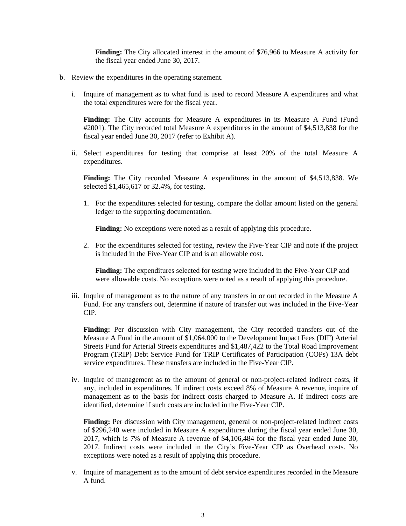**Finding:** The City allocated interest in the amount of \$76,966 to Measure A activity for the fiscal year ended June 30, 2017.

- b. Review the expenditures in the operating statement.
	- i. Inquire of management as to what fund is used to record Measure A expenditures and what the total expenditures were for the fiscal year.

**Finding:** The City accounts for Measure A expenditures in its Measure A Fund (Fund #2001). The City recorded total Measure A expenditures in the amount of \$4,513,838 for the fiscal year ended June 30, 2017 (refer to Exhibit A).

ii. Select expenditures for testing that comprise at least 20% of the total Measure A expenditures.

**Finding:** The City recorded Measure A expenditures in the amount of \$4,513,838. We selected \$1,465,617 or 32.4%, for testing.

1. For the expenditures selected for testing, compare the dollar amount listed on the general ledger to the supporting documentation.

**Finding:** No exceptions were noted as a result of applying this procedure.

2. For the expenditures selected for testing, review the Five-Year CIP and note if the project is included in the Five-Year CIP and is an allowable cost.

**Finding:** The expenditures selected for testing were included in the Five-Year CIP and were allowable costs. No exceptions were noted as a result of applying this procedure.

iii. Inquire of management as to the nature of any transfers in or out recorded in the Measure A Fund. For any transfers out, determine if nature of transfer out was included in the Five-Year CIP.

**Finding:** Per discussion with City management, the City recorded transfers out of the Measure A Fund in the amount of \$1,064,000 to the Development Impact Fees (DIF) Arterial Streets Fund for Arterial Streets expenditures and \$1,487,422 to the Total Road Improvement Program (TRIP) Debt Service Fund for TRIP Certificates of Participation (COPs) 13A debt service expenditures. These transfers are included in the Five-Year CIP.

iv. Inquire of management as to the amount of general or non-project-related indirect costs, if any, included in expenditures. If indirect costs exceed 8% of Measure A revenue, inquire of management as to the basis for indirect costs charged to Measure A. If indirect costs are identified, determine if such costs are included in the Five-Year CIP.

Finding: Per discussion with City management, general or non-project-related indirect costs of \$296,240 were included in Measure A expenditures during the fiscal year ended June 30, 2017, which is 7% of Measure A revenue of \$4,106,484 for the fiscal year ended June 30, 2017. Indirect costs were included in the City's Five-Year CIP as Overhead costs. No exceptions were noted as a result of applying this procedure.

v. Inquire of management as to the amount of debt service expenditures recorded in the Measure A fund.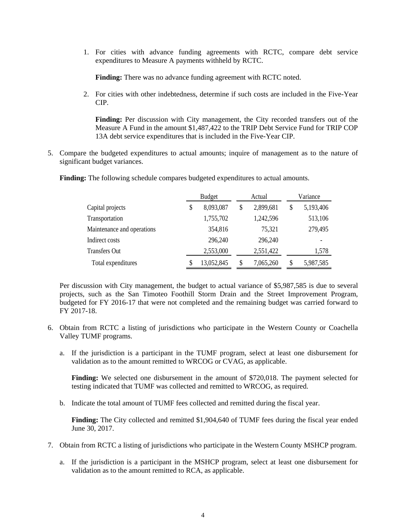1. For cities with advance funding agreements with RCTC, compare debt service expenditures to Measure A payments withheld by RCTC.

**Finding:** There was no advance funding agreement with RCTC noted.

2. For cities with other indebtedness, determine if such costs are included in the Five-Year CIP.

**Finding:** Per discussion with City management, the City recorded transfers out of the Measure A Fund in the amount \$1,487,422 to the TRIP Debt Service Fund for TRIP COP 13A debt service expenditures that is included in the Five-Year CIP.

5. Compare the budgeted expenditures to actual amounts; inquire of management as to the nature of significant budget variances.

|                            | <b>Budget</b>   |    | Actual    |    | Variance  |  |  |
|----------------------------|-----------------|----|-----------|----|-----------|--|--|
| Capital projects           | \$<br>8,093,087 | \$ | 2,899,681 | \$ | 5,193,406 |  |  |
| Transportation             | 1,755,702       |    | 1,242,596 |    | 513,106   |  |  |
| Maintenance and operations | 354,816         |    | 75,321    |    | 279,495   |  |  |
| Indirect costs             | 296,240         |    | 296,240   |    |           |  |  |
| Transfers Out              | 2,553,000       |    | 2,551,422 |    | 1,578     |  |  |
| Total expenditures         | 13,052,845      | \$ | 7,065,260 | S  | 5,987,585 |  |  |

**Finding:** The following schedule compares budgeted expenditures to actual amounts.

Per discussion with City management, the budget to actual variance of \$5,987,585 is due to several projects, such as the San Timoteo Foothill Storm Drain and the Street Improvement Program, budgeted for FY 2016-17 that were not completed and the remaining budget was carried forward to FY 2017-18.

- 6. Obtain from RCTC a listing of jurisdictions who participate in the Western County or Coachella Valley TUMF programs.
	- a. If the jurisdiction is a participant in the TUMF program, select at least one disbursement for validation as to the amount remitted to WRCOG or CVAG, as applicable.

**Finding:** We selected one disbursement in the amount of \$720,018. The payment selected for testing indicated that TUMF was collected and remitted to WRCOG, as required.

b. Indicate the total amount of TUMF fees collected and remitted during the fiscal year.

**Finding:** The City collected and remitted \$1,904,640 of TUMF fees during the fiscal year ended June 30, 2017.

- 7. Obtain from RCTC a listing of jurisdictions who participate in the Western County MSHCP program.
	- a. If the jurisdiction is a participant in the MSHCP program, select at least one disbursement for validation as to the amount remitted to RCA, as applicable.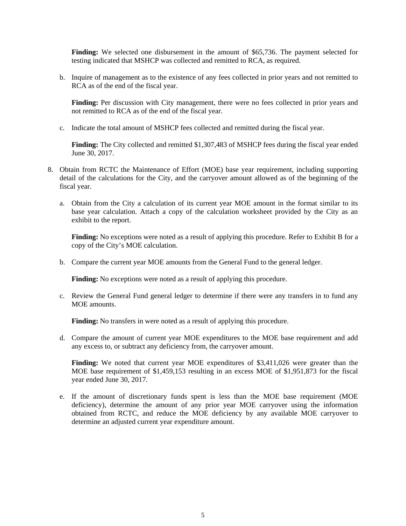**Finding:** We selected one disbursement in the amount of \$65,736. The payment selected for testing indicated that MSHCP was collected and remitted to RCA, as required.

b. Inquire of management as to the existence of any fees collected in prior years and not remitted to RCA as of the end of the fiscal year.

**Finding:** Per discussion with City management, there were no fees collected in prior years and not remitted to RCA as of the end of the fiscal year.

c. Indicate the total amount of MSHCP fees collected and remitted during the fiscal year.

**Finding:** The City collected and remitted \$1,307,483 of MSHCP fees during the fiscal year ended June 30, 2017.

- 8. Obtain from RCTC the Maintenance of Effort (MOE) base year requirement, including supporting detail of the calculations for the City, and the carryover amount allowed as of the beginning of the fiscal year.
	- a. Obtain from the City a calculation of its current year MOE amount in the format similar to its base year calculation. Attach a copy of the calculation worksheet provided by the City as an exhibit to the report.

**Finding:** No exceptions were noted as a result of applying this procedure. Refer to Exhibit B for a copy of the City's MOE calculation.

b. Compare the current year MOE amounts from the General Fund to the general ledger.

**Finding:** No exceptions were noted as a result of applying this procedure.

c. Review the General Fund general ledger to determine if there were any transfers in to fund any MOE amounts.

**Finding:** No transfers in were noted as a result of applying this procedure.

d. Compare the amount of current year MOE expenditures to the MOE base requirement and add any excess to, or subtract any deficiency from, the carryover amount.

**Finding:** We noted that current year MOE expenditures of \$3,411,026 were greater than the MOE base requirement of \$1,459,153 resulting in an excess MOE of \$1,951,873 for the fiscal year ended June 30, 2017.

e. If the amount of discretionary funds spent is less than the MOE base requirement (MOE deficiency), determine the amount of any prior year MOE carryover using the information obtained from RCTC, and reduce the MOE deficiency by any available MOE carryover to determine an adjusted current year expenditure amount.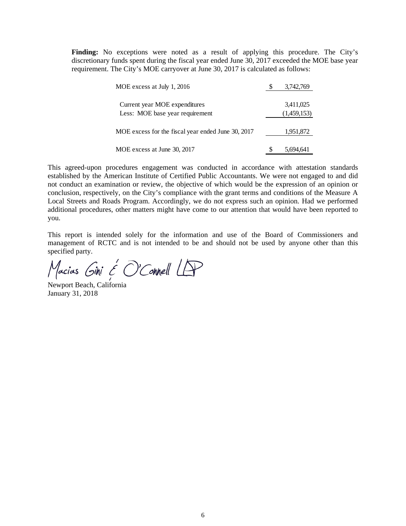**Finding:** No exceptions were noted as a result of applying this procedure. The City's discretionary funds spent during the fiscal year ended June 30, 2017 exceeded the MOE base year requirement. The City's MOE carryover at June 30, 2017 is calculated as follows:

| MOE excess at July 1, 2016                         | 3,742,769   |
|----------------------------------------------------|-------------|
| Current year MOE expenditures                      | 3,411,025   |
| Less: MOE base year requirement                    | (1,459,153) |
| MOE excess for the fiscal year ended June 30, 2017 | 1,951,872   |
| MOE excess at June 30, 2017                        | 5,694,641   |

This agreed-upon procedures engagement was conducted in accordance with attestation standards established by the American Institute of Certified Public Accountants. We were not engaged to and did not conduct an examination or review, the objective of which would be the expression of an opinion or conclusion, respectively, on the City's compliance with the grant terms and conditions of the Measure A Local Streets and Roads Program. Accordingly, we do not express such an opinion. Had we performed additional procedures, other matters might have come to our attention that would have been reported to you.

This report is intended solely for the information and use of the Board of Commissioners and management of RCTC and is not intended to be and should not be used by anyone other than this specified party.

Macias Gini & O'Connell LAP

Newport Beach, California January 31, 2018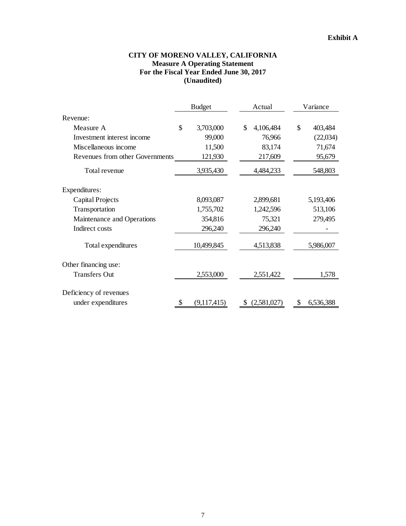## **CITY OF MORENO VALLEY, CALIFORNIA Measure A Operating Statement For the Fiscal Year Ended June 30, 2017 (Unaudited)**

|                                 | <b>Budget</b> |             |    | Actual      |    | Variance  |
|---------------------------------|---------------|-------------|----|-------------|----|-----------|
| Revenue:                        |               |             |    |             |    |           |
| Measure A                       | \$            | 3,703,000   | \$ | 4,106,484   | \$ | 403,484   |
| Investment interest income      |               | 99,000      |    | 76,966      |    | (22,034)  |
| Miscellaneous income            |               | 11,500      |    | 83,174      |    | 71,674    |
| Revenues from other Governments |               | 121,930     |    | 217,609     |    | 95,679    |
| Total revenue                   |               | 3,935,430   |    | 4,484,233   |    | 548,803   |
| Expenditures:                   |               |             |    |             |    |           |
| <b>Capital Projects</b>         |               | 8,093,087   |    | 2,899,681   |    | 5,193,406 |
| Transportation                  |               | 1,755,702   |    | 1,242,596   |    | 513,106   |
| Maintenance and Operations      |               | 354,816     |    | 75,321      |    | 279,495   |
| Indirect costs                  |               | 296,240     |    | 296,240     |    |           |
| Total expenditures              |               | 10,499,845  |    | 4,513,838   |    | 5,986,007 |
| Other financing use:            |               |             |    |             |    |           |
| <b>Transfers Out</b>            |               | 2,553,000   |    | 2,551,422   |    | 1,578     |
| Deficiency of revenues          |               |             |    |             |    |           |
| under expenditures              | S             | (9,117,415) | æ. | (2,581,027) |    | 6,536,388 |